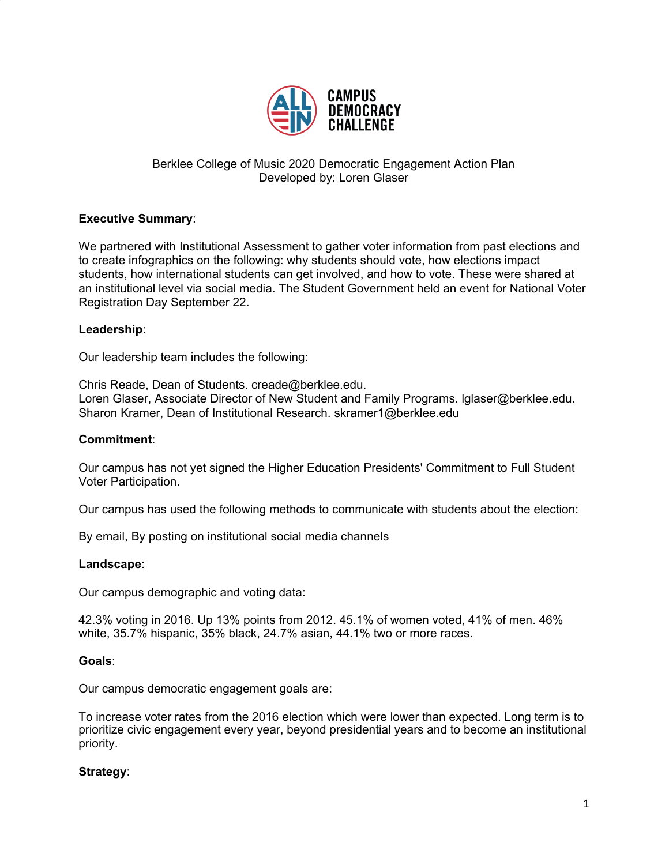

# Berklee College of Music 2020 Democratic Engagement Action Plan Developed by: Loren Glaser

## **Executive Summary**:

We partnered with Institutional Assessment to gather voter information from past elections and to create infographics on the following: why students should vote, how elections impact students, how international students can get involved, and how to vote. These were shared at an institutional level via social media. The Student Government held an event for National Voter Registration Day September 22.

### **Leadership**:

Our leadership team includes the following:

Chris Reade, Dean of Students. creade@berklee.edu. Loren Glaser, Associate Director of New Student and Family Programs. lglaser@berklee.edu. Sharon Kramer, Dean of Institutional Research. skramer1@berklee.edu

#### **Commitment**:

Our campus has not yet signed the Higher Education Presidents' Commitment to Full Student Voter Participation.

Our campus has used the following methods to communicate with students about the election:

By email, By posting on institutional social media channels

#### **Landscape**:

Our campus demographic and voting data:

42.3% voting in 2016. Up 13% points from 2012. 45.1% of women voted, 41% of men. 46% white, 35.7% hispanic, 35% black, 24.7% asian, 44.1% two or more races.

#### **Goals**:

Our campus democratic engagement goals are:

To increase voter rates from the 2016 election which were lower than expected. Long term is to prioritize civic engagement every year, beyond presidential years and to become an institutional priority.

## **Strategy**: